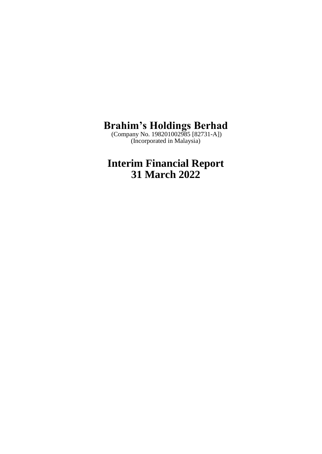(Company No. 198201002985 [82731-A]) (Incorporated in Malaysia)

# **Interim Financial Report 31 March 2022**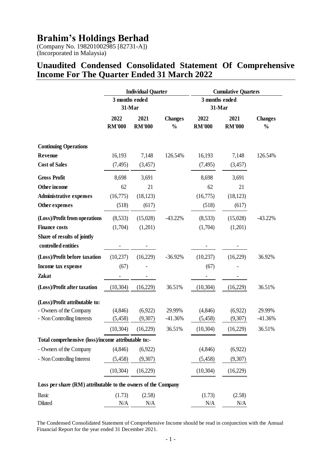(Company No. 198201002985 [82731-A]) (Incorporated in Malaysia)

#### **Unaudited Condensed Consolidated Statement Of Comprehensive Income For The Quarter Ended 31 March 2022**

|                                                               | <b>Individual Quarter</b> |                       | <b>Cumulative Quarters</b>      |                          |                       |                                 |
|---------------------------------------------------------------|---------------------------|-----------------------|---------------------------------|--------------------------|-----------------------|---------------------------------|
|                                                               | 3 months ended<br>31-Mar  |                       |                                 | 3 months ended<br>31-Mar |                       |                                 |
|                                                               | 2022<br><b>RM'000</b>     | 2021<br><b>RM'000</b> | <b>Changes</b><br>$\frac{0}{0}$ | 2022<br><b>RM'000</b>    | 2021<br><b>RM'000</b> | <b>Changes</b><br>$\frac{0}{0}$ |
| <b>Continuing Operations</b>                                  |                           |                       |                                 |                          |                       |                                 |
| <b>Revenue</b>                                                | 16,193                    | 7,148                 | 126.54%                         | 16,193                   | 7,148                 | 126.54%                         |
| <b>Cost of Sales</b>                                          | (7, 495)                  | (3,457)               |                                 | (7, 495)                 | (3,457)               |                                 |
| <b>Gross Profit</b>                                           | 8,698                     | 3,691                 |                                 | 8,698                    | 3,691                 |                                 |
| Other income                                                  | 62                        | 21                    |                                 | 62                       | 21                    |                                 |
| <b>Administrative expenses</b>                                | (16,775)                  | (18, 123)             |                                 | (16,775)                 | (18, 123)             |                                 |
| Other expenses                                                | (518)                     | (617)                 |                                 | (518)                    | (617)                 |                                 |
| (Loss)/Profit from operations                                 | (8,533)                   | (15,028)              | $-43.22%$                       | (8,533)                  | (15,028)              | $-43.22%$                       |
| <b>Finance costs</b>                                          | (1,704)                   | (1,201)               |                                 | (1,704)                  | (1,201)               |                                 |
| Share of results of jointly                                   |                           |                       |                                 |                          |                       |                                 |
| controlled entities                                           |                           |                       |                                 |                          |                       |                                 |
| (Loss)/Profit before taxation                                 | (10,237)                  | (16,229)              | $-36.92%$                       | (10, 237)                | (16,229)              | 36.92%                          |
| Income tax expense                                            | (67)                      |                       |                                 | (67)                     |                       |                                 |
| <b>Zakat</b>                                                  |                           |                       |                                 |                          |                       |                                 |
| (Loss)/Profit after taxation                                  | (10, 304)                 | (16,229)              | 36.51%                          | (10, 304)                | (16,229)              | 36.51%                          |
| (Loss)/Profit attributable to:                                |                           |                       |                                 |                          |                       |                                 |
| - Owners of the Company                                       | (4, 846)                  | (6,922)               | 29.99%                          | (4,846)                  | (6,922)               | 29.99%                          |
| - Non Controlling Interests                                   | (5, 458)                  | (9,307)               | $-41.36%$                       | (5,458)                  | (9,307)               | $-41.36%$                       |
|                                                               | (10, 304)                 | (16,229)              | 36.51%                          | (10, 304)                | (16,229)              | 36.51%                          |
| Total comprehensive (loss)/income attributable to:-           |                           |                       |                                 |                          |                       |                                 |
| - Owners of the Company                                       | (4,846)                   | (6,922)               |                                 | (4,846)                  | (6,922)               |                                 |
| - Non Controlling Interest                                    | (5,458)                   | (9,307)               |                                 | (5,458)                  | (9,307)               |                                 |
|                                                               | (10, 304)                 | (16,229)              |                                 | (10, 304)                | (16,229)              |                                 |
| Loss per share (RM) attributable to the owners of the Company |                           |                       |                                 |                          |                       |                                 |
| <b>Basic</b>                                                  | (1.73)                    | (2.58)                |                                 | (1.73)                   | (2.58)                |                                 |
| Diluted                                                       | N/A                       | N/A                   |                                 | N/A                      | N/A                   |                                 |

The Condensed Consolidated Statement of Comprehensive Income should be read in conjunction with the Annual Financial Report for the year ended 31 December 2021.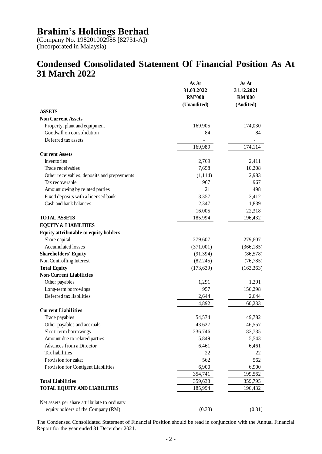(Company No. 198201002985 [82731-A]) (Incorporated in Malaysia)

# **Condensed Consolidated Statement Of Financial Position As At 31 March 2022**

|                                              | As At<br>31.03.2022<br><b>RM'000</b> | As At<br>31.12.2021<br><b>RM'000</b> |
|----------------------------------------------|--------------------------------------|--------------------------------------|
| <b>ASSETS</b>                                | (Unaudited)                          | (Audited)                            |
| <b>Non Current Assets</b>                    |                                      |                                      |
| Property, plant and equipment                | 169,905                              | 174,030                              |
| Goodwill on consolidation                    | 84                                   | 84                                   |
| Deferred tax assets                          |                                      |                                      |
|                                              | 169,989                              | 174,114                              |
| <b>Current Assets</b>                        |                                      |                                      |
| Inventories                                  | 2,769                                | 2,411                                |
| Trade receivables                            | 7,658                                | 10,208                               |
| Other receivables, deposits and prepayments  | (1, 114)                             | 2,983                                |
| Tax recoverable                              | 967                                  | 967                                  |
| Amount owing by related parties              | 21                                   | 498                                  |
| Fixed deposits with a licensed bank          | 3,357                                | 3,412                                |
| Cash and bank balances                       | 2,347                                | 1,839                                |
|                                              | 16,005                               | 22,318                               |
| <b>TOTAL ASSETS</b>                          | 185,994                              | 196,432                              |
| <b>EQUITY &amp; LIABILITIES</b>              |                                      |                                      |
| Equity attributable to equity holders        |                                      |                                      |
| Share capital                                | 279,607                              | 279,607                              |
| <b>Accumulated losses</b>                    | (371,001)                            | (366, 185)                           |
| <b>Shareholders' Equity</b>                  | (91, 394)                            | (86,578)                             |
| Non Controlling Interest                     | (82, 245)                            | (76, 785)                            |
| <b>Total Equity</b>                          | (173, 639)                           | (163, 363)                           |
| <b>Non-Current Liabilities</b>               |                                      |                                      |
| Other payables                               | 1,291                                | 1,291                                |
| Long-term borrowings                         | 957                                  | 156,298                              |
| Deferred tax liabilities                     | 2,644                                | 2,644                                |
|                                              | 4,892                                | 160,233                              |
| <b>Current Liabilities</b>                   |                                      |                                      |
| Trade payables                               | 54,574                               | 49,782                               |
| Other payables and accruals                  | 43,627                               | 46,557                               |
| Short-term borrowings                        | 236,746                              | 83,735                               |
| Amount due to related parties                | 5,849                                | 5,543                                |
| Advances from a Director                     | 6,461                                | 6,461                                |
| Tax liabilities                              | 22                                   | 22                                   |
| Provision for zakat                          | 562                                  | 562                                  |
| Provision for Contigent Liabilities          | 6,900                                | 6,900                                |
|                                              | 354,741                              | 199,562                              |
| <b>Total Liabilities</b>                     | 359,633                              | 359,795                              |
| TOTAL EQUITY AND LIABILITIES                 | 185,994                              | 196,432                              |
|                                              |                                      |                                      |
| Net assets per share attribulate to ordinary |                                      |                                      |
| equity holders of the Company (RM)           | (0.33)                               | (0.31)                               |

The Condensed Consolidated Statement of Financial Position should be read in conjunction with the Annual Financial Report for the year ended 31 December 2021.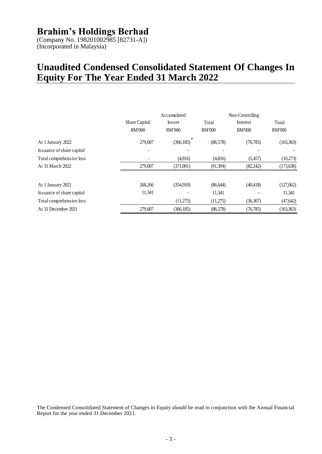(Company No. 198201002985 [82731-A]) (Incorporated in Malaysia)

# **Unaudited Condensed Consolidated Statement Of Changes In Equity For The Year Ended 31 March 2022**

|                           | Share Capital<br><b>RM'000</b> | Accumulated<br>losses<br><b>RM'000</b> | Total<br><b>RM'000</b> | Non-Controlling<br>Interest<br><b>RM'000</b> | Total<br><b>RM'000</b> |
|---------------------------|--------------------------------|----------------------------------------|------------------------|----------------------------------------------|------------------------|
| At 1 January 2022         | 279,607                        | (366, 185)                             | (86,578)               | (76, 785)                                    | (163, 363)             |
| Issuance of share capital |                                |                                        |                        |                                              |                        |
| Total comprehensive loss  |                                | (4,816)                                | (4,816)                | (5,457)                                      | (10,273)               |
| At 31 March 2022          | 279,607                        | (371,001)                              | (91, 394)              | (82, 242)                                    | (173, 636)             |
| At 1 January 2021         | 268,266                        | (354,910)                              | (86, 644)              | (40, 418)                                    | (127,062)              |
| Issuance of share capital | 11,341                         |                                        | 11,341                 |                                              | 11,341                 |
| Total comprehensive loss  |                                | (11,275)                               | (11,275)               | (36,367)                                     | (47, 642)              |
| At 31 December 2021       | 279,607                        | (366, 185)                             | (86,578)               | (76, 785)                                    | (163, 363)             |

The Condensed Consolidated Statement of Changes in Equity should be read in conjunction with the Annual Financial Report for the year ended 31 December 2021.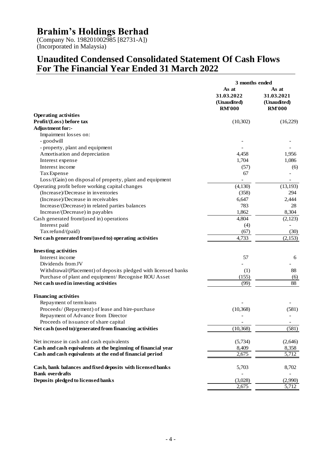(Company No. 198201002985 [82731-A]) (Incorporated in Malaysia)

### **Unaudited Condensed Consolidated Statement Of Cash Flows For The Financial Year Ended 31 March 2022**

|                                                                | 3 months ended                                      |                                                     |
|----------------------------------------------------------------|-----------------------------------------------------|-----------------------------------------------------|
|                                                                | As at<br>31.03.2022<br>(Unaudited)<br><b>RM'000</b> | As at<br>31.03.2021<br>(Unaudited)<br><b>RM'000</b> |
| <b>Operating activities</b>                                    |                                                     |                                                     |
| Profit/(Loss) before tax                                       | (10,302)                                            | (16,229)                                            |
| Adjustment for:-                                               |                                                     |                                                     |
| Impairment losses on:                                          |                                                     |                                                     |
| - goodwill                                                     |                                                     |                                                     |
| - property, plant and equipment                                |                                                     |                                                     |
| Amortisation and depreciation                                  | 4,458                                               | 1,956                                               |
| Interest expense                                               | 1,704                                               | 1,086                                               |
| Interest income                                                | (57)                                                | (6)                                                 |
| Tax Expense                                                    | 67                                                  |                                                     |
| Loss/(Gain) on disposal of property, plant and equipment       |                                                     |                                                     |
| Operating profit before working capital changes                | (4,130)                                             | (13, 193)                                           |
| (Increase)/Decrease in inventories                             | (358)                                               | 294                                                 |
| (Increase)/Decrease in receivables                             | 6,647                                               | 2,444                                               |
| Increase/(Decrease) in related parties balances                | 783                                                 | 28                                                  |
| Increase/(Decrease) in payables                                | 1,862                                               | 8,304                                               |
| Cash generated from/(used in) operations                       | 4,804                                               | (2,123)                                             |
| Interest paid                                                  | (4)                                                 |                                                     |
| Tax refund/(paid)                                              | (67)                                                | (30)                                                |
| Net cash generated from/(used to) operating activities         | 4,733                                               | (2,153)                                             |
| <b>Investing activities</b>                                    |                                                     |                                                     |
| Interest income                                                | 57                                                  | 6                                                   |
| Dividends from JV                                              |                                                     |                                                     |
| Withdrawal/(Placement) of deposits pledged with licensed banks | (1)                                                 | 88                                                  |
| Purchase of plant and equipment/ Recognise ROU Asset           | (155)                                               | (6)                                                 |
| Net cash used in investing activities                          | (99)                                                | 88                                                  |
| <b>Financing activities</b>                                    |                                                     |                                                     |
| Repayment of term loans                                        |                                                     |                                                     |
| Proceeds/ (Repayment) of lease and hire-purchase               | (10, 368)                                           | (581)                                               |
| Repayment of Advance from Director                             |                                                     |                                                     |
| Proceeds of issuance of share capital                          |                                                     |                                                     |
| Net cash (used to)/generated from financing activities         | (10, 368)                                           | (581)                                               |
| Net increase in cash and cash equivalents                      | (5,734)                                             | (2,646)                                             |
| Cash and cash equivalents at the beginning of financial year   | 8,409                                               | 8,358                                               |
| Cash and cash equivalents at the end of financial period       | 2,675                                               | 5,712                                               |
| Cash, bank balances and fixed deposits with licensed banks     | 5,703                                               | 8,702                                               |
| <b>Bank overdrafts</b>                                         |                                                     |                                                     |
| Deposits pledged to licensed banks                             | (3,028)                                             | (2,990)                                             |
|                                                                | 2,675                                               | 5,712                                               |
|                                                                |                                                     |                                                     |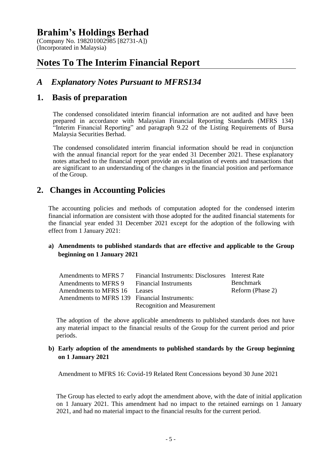(Company No. 198201002985 [82731-A]) (Incorporated in Malaysia)

# **Notes To The Interim Financial Report**

### *A Explanatory Notes Pursuant to MFRS134*

#### **1. Basis of preparation**

The condensed consolidated interim financial information are not audited and have been prepared in accordance with Malaysian Financial Reporting Standards (MFRS 134) "Interim Financial Reporting" and paragraph 9.22 of the Listing Requirements of Bursa Malaysia Securities Berhad.

The condensed consolidated interim financial information should be read in conjunction with the annual financial report for the year ended 31 December 2021. These explanatory notes attached to the financial report provide an explanation of events and transactions that are significant to an understanding of the changes in the financial position and performance of the Group.

#### **2. Changes in Accounting Policies**

The accounting policies and methods of computation adopted for the condensed interim financial information are consistent with those adopted for the audited financial statements for the financial year ended 31 December 2021 except for the adoption of the following with effect from 1 January 2021:

#### **a) Amendments to published standards that are effective and applicable to the Group beginning on 1 January 2021**

| Amendments to MFRS 7                          | Financial Instruments: Disclosures Interest Rate |                  |
|-----------------------------------------------|--------------------------------------------------|------------------|
| Amendments to MFRS 9 Financial Instruments    |                                                  | <b>Benchmark</b> |
| Amendments to MFRS 16 Leases                  |                                                  | Reform (Phase 2) |
| Amendments to MFRS 139 Financial Instruments: |                                                  |                  |
|                                               | <b>Recognition and Measurement</b>               |                  |

The adoption of the above applicable amendments to published standards does not have any material impact to the financial results of the Group for the current period and prior periods.

#### **b) Early adoption of the amendments to published standards by the Group beginning on 1 January 2021**

Amendment to MFRS 16: Covid-19 Related Rent Concessions beyond 30 June 2021

The Group has elected to early adopt the amendment above, with the date of initial application on 1 January 2021. This amendment had no impact to the retained earnings on 1 January 2021, and had no material impact to the financial results for the current period.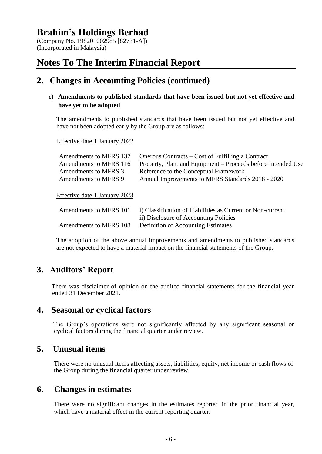(Company No. 198201002985 [82731-A]) (Incorporated in Malaysia)

# **Notes To The Interim Financial Report**

#### **2. Changes in Accounting Policies (continued)**

#### **c) Amendments to published standards that have been issued but not yet effective and have yet to be adopted**

The amendments to published standards that have been issued but not yet effective and have not been adopted early by the Group are as follows:

Effective date 1 January 2022

| Amendments to MFRS 137        | Onerous Contracts – Cost of Fulfilling a Contract            |
|-------------------------------|--------------------------------------------------------------|
| Amendments to MFRS 116        | Property, Plant and Equipment - Proceeds before Intended Use |
| Amendments to MFRS 3          | Reference to the Conceptual Framework                        |
| Amendments to MFRS 9          | Annual Improvements to MFRS Standards 2018 - 2020            |
|                               |                                                              |
| Effective date 1 January 2023 |                                                              |
|                               |                                                              |
| Amendments to MFRS 101        | i) Classification of Liabilities as Current or Non-current   |
|                               | ii) Disclosure of Accounting Policies                        |
| Amendments to MFRS 108        | Definition of Accounting Estimates                           |
|                               |                                                              |

The adoption of the above annual improvements and amendments to published standards are not expected to have a material impact on the financial statements of the Group.

#### **3. Auditors' Report**

There was disclaimer of opinion on the audited financial statements for the financial year ended 31 December 2021.

#### **4. Seasonal or cyclical factors**

The Group's operations were not significantly affected by any significant seasonal or cyclical factors during the financial quarter under review.

#### **5. Unusual items**

There were no unusual items affecting assets, liabilities, equity, net income or cash flows of the Group during the financial quarter under review.

#### **6. Changes in estimates**

There were no significant changes in the estimates reported in the prior financial year, which have a material effect in the current reporting quarter.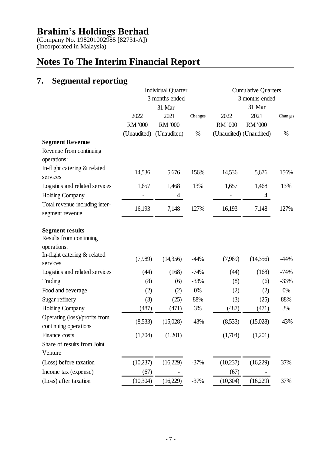(Company No. 198201002985 [82731-A]) (Incorporated in Malaysia)

# **Notes To The Interim Financial Report**

# **7. Segmental reporting**

|                                                                                                  |             | <b>Individual Quarter</b> |         |                | <b>Cumulative Quarters</b> |         |
|--------------------------------------------------------------------------------------------------|-------------|---------------------------|---------|----------------|----------------------------|---------|
|                                                                                                  |             | 3 months ended            |         |                | 3 months ended             |         |
|                                                                                                  |             | 31 Mar                    |         |                | 31 Mar                     |         |
|                                                                                                  | 2022        | 2021                      | Changes | 2022           | 2021                       | Changes |
|                                                                                                  | RM '000     | <b>RM '000</b>            |         | <b>RM '000</b> | <b>RM '000</b>             |         |
|                                                                                                  | (Unaudited) | (Unaudited)               | $\%$    |                | (Unaudited) (Unaudited)    | %       |
| <b>Segment Revenue</b><br>Revenue from continuing<br>operations:                                 |             |                           |         |                |                            |         |
| In-flight catering & related<br>services                                                         | 14,536      | 5,676                     | 156%    | 14,536         | 5,676                      | 156%    |
| Logistics and related services                                                                   | 1,657       | 1,468                     | 13%     | 1,657          | 1,468                      | 13%     |
| <b>Holding Company</b>                                                                           |             | 4                         |         |                | 4                          |         |
| Total revenue including inter-<br>segment revenue                                                | 16,193      | 7,148                     | 127%    | 16,193         | 7,148                      | 127%    |
| <b>Segment results</b><br>Results from continuing<br>operations:<br>In-flight catering & related | (7,989)     | (14,356)                  | $-44%$  | (7,989)        | (14,356)                   | $-44%$  |
| services                                                                                         |             |                           |         |                |                            |         |
| Logistics and related services                                                                   | (44)        | (168)                     | $-74%$  | (44)           | (168)                      | $-74%$  |
| Trading                                                                                          | (8)         | (6)                       | $-33%$  | (8)            | (6)                        | $-33%$  |
| Food and beverage                                                                                | (2)         | (2)                       | $0\%$   | (2)            | (2)                        | $0\%$   |
| Sugar refinery                                                                                   | (3)         | (25)                      | 88%     | (3)            | (25)                       | 88%     |
| <b>Holding Company</b>                                                                           | (487)       | (471)                     | 3%      | (487)          | (471)                      | 3%      |
| Operating (loss)/profits from<br>continuing operations                                           | (8,533)     | (15,028)                  | $-43%$  | (8,533)        | (15,028)                   | $-43%$  |
| Finance costs                                                                                    | (1,704)     | (1,201)                   |         | (1,704)        | (1,201)                    |         |
| Share of results from Joint<br>Venture                                                           |             |                           |         |                |                            |         |
| (Loss) before taxation                                                                           | (10,237)    | (16,229)                  | $-37%$  | (10,237)       | (16,229)                   | 37%     |
| Income tax (expense)                                                                             | (67)        |                           |         | (67)           |                            |         |
| (Loss) after taxation                                                                            | (10,304)    | (16,229)                  | $-37%$  | (10,304)       | (16,229)                   | 37%     |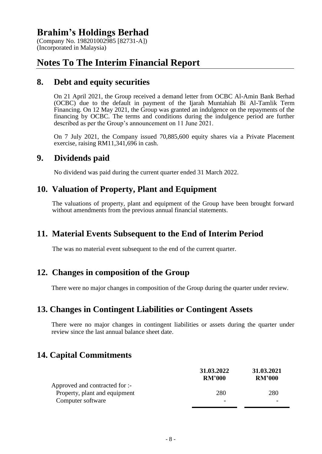(Company No. 198201002985 [82731-A]) (Incorporated in Malaysia)

# **Notes To The Interim Financial Report**

#### **8. Debt and equity securities**

On 21 April 2021, the Group received a demand letter from OCBC Al-Amin Bank Berhad (OCBC) due to the default in payment of the Ijarah Muntahiah Bi Al-Tamlik Term Financing. On 12 May 2021, the Group was granted an indulgence on the repayments of the financing by OCBC. The terms and conditions during the indulgence period are further described as per the Group's announcement on 11 June 2021.

On 7 July 2021, the Company issued 70,885,600 equity shares via a Private Placement exercise, raising RM11,341,696 in cash.

#### **9. Dividends paid**

No dividend was paid during the current quarter ended 31 March 2022.

#### **10. Valuation of Property, Plant and Equipment**

The valuations of property, plant and equipment of the Group have been brought forward without amendments from the previous annual financial statements.

#### **11. Material Events Subsequent to the End of Interim Period**

The was no material event subsequent to the end of the current quarter.

#### **12. Changes in composition of the Group**

There were no major changes in composition of the Group during the quarter under review.

#### **13. Changes in Contingent Liabilities or Contingent Assets**

There were no major changes in contingent liabilities or assets during the quarter under review since the last annual balance sheet date.

### **14. Capital Commitments**

|                                | 31.03.2022<br><b>RM'000</b> | 31.03.2021<br><b>RM'000</b> |
|--------------------------------|-----------------------------|-----------------------------|
| Approved and contracted for :- |                             |                             |
| Property, plant and equipment  | 280                         | 280                         |
| Computer software              |                             |                             |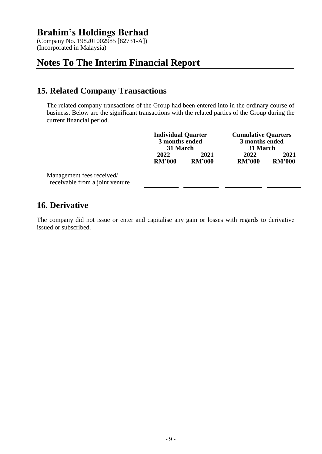(Company No. 198201002985 [82731-A]) (Incorporated in Malaysia)

# **Notes To The Interim Financial Report**

### **15. Related Company Transactions**

The related company transactions of the Group had been entered into in the ordinary course of business. Below are the significant transactions with the related parties of the Group during the current financial period.

|                                                              | <b>Individual Quarter</b><br>3 months ended<br>31 March |                       | <b>Cumulative Quarters</b><br>3 months ended<br>31 March |                       |
|--------------------------------------------------------------|---------------------------------------------------------|-----------------------|----------------------------------------------------------|-----------------------|
|                                                              | 2022<br><b>RM'000</b>                                   | 2021<br><b>RM'000</b> | 2022<br><b>RM'000</b>                                    | 2021<br><b>RM'000</b> |
| Management fees received/<br>receivable from a joint venture | -                                                       | -                     | $\overline{\phantom{a}}$                                 |                       |

### **16. Derivative**

The company did not issue or enter and capitalise any gain or losses with regards to derivative issued or subscribed.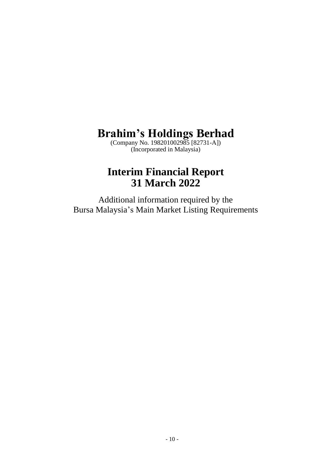(Company No. 198201002985 [82731-A]) (Incorporated in Malaysia)

# **Interim Financial Report 31 March 2022**

Additional information required by the Bursa Malaysia's Main Market Listing Requirements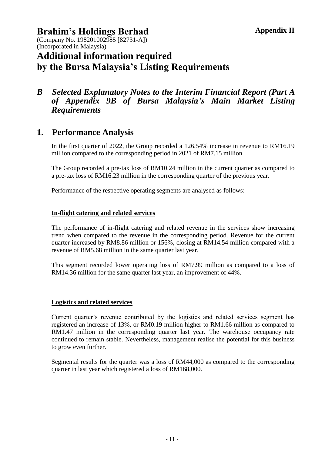(Company No. 198201002985 [82731-A]) (Incorporated in Malaysia)

# **Additional information required by the Bursa Malaysia's Listing Requirements**

#### *B Selected Explanatory Notes to the Interim Financial Report (Part A of Appendix 9B of Bursa Malaysia's Main Market Listing Requirements*

### **1. Performance Analysis**

In the first quarter of 2022, the Group recorded a 126.54% increase in revenue to RM16.19 million compared to the corresponding period in 2021 of RM7.15 million.

The Group recorded a pre-tax loss of RM10.24 million in the current quarter as compared to a pre-tax loss of RM16.23 million in the corresponding quarter of the previous year.

Performance of the respective operating segments are analysed as follows:-

#### **In-flight catering and related services**

The performance of in-flight catering and related revenue in the services show increasing trend when compared to the revenue in the corresponding period. Revenue for the current quarter increased by RM8.86 million or 156%, closing at RM14.54 million compared with a revenue of RM5.68 million in the same quarter last year.

This segment recorded lower operating loss of RM7.99 million as compared to a loss of RM14.36 million for the same quarter last year, an improvement of 44%.

#### **Logistics and related services**

Current quarter's revenue contributed by the logistics and related services segment has registered an increase of 13%, or RM0.19 million higher to RM1.66 million as compared to RM1.47 million in the corresponding quarter last year. The warehouse occupancy rate continued to remain stable. Nevertheless, management realise the potential for this business to grow even further.

Segmental results for the quarter was a loss of RM44,000 as compared to the corresponding quarter in last year which registered a loss of RM168,000.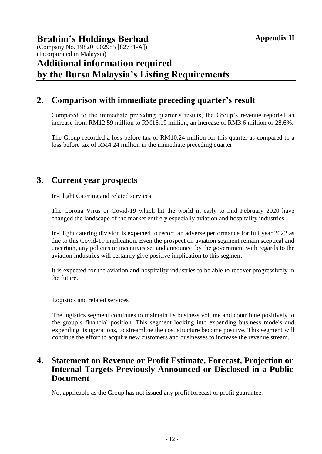#### **Brahim's Holdings Berhad** (Company No. 198201002985 [82731-A]) (Incorporated in Malaysia) **Additional information required by the Bursa Malaysia's Listing Requirements**

### **2. Comparison with immediate preceding quarter's result**

Compared to the immediate preceding quarter's results, the Group's revenue reported an increase from RM12.59 million to RM16.19 million, an increase of RM3.6 million or 28.6%.

The Group recorded a loss before tax of RM10.24 million for this quarter as compared to a loss before tax of RM4.24 million in the immediate preceding quarter.

#### **3. Current year prospects**

#### In-Flight Catering and related services

The Corona Virus or Covid-19 which hit the world in early to mid February 2020 have changed the landscape of the market entirely especially aviation and hospitality industries.

In-Flight catering division is expected to record an adverse performance for full year 2022 as due to this Covid-19 implication. Even the prospect on aviation segment remain sceptical and uncertain, any policies or incentives set and announce by the government with regards to the aviation industries will certainly give positive implication to this segment.

It is expected for the aviation and hospitality industries to be able to recover progressively in the future.

#### Logistics and related services

The logistics segment continues to maintain its business volume and contribute positively to the group's financial position. This segment looking into expending business models and expending its operations, to streamline the cost structure become positive. This segment will continue the effort to acquire new customers and businesses to increase the revenue stream.

#### **4. Statement on Revenue or Profit Estimate, Forecast, Projection or Internal Targets Previously Announced or Disclosed in a Public Document**

Not applicable as the Group has not issued any profit forecast or profit guarantee.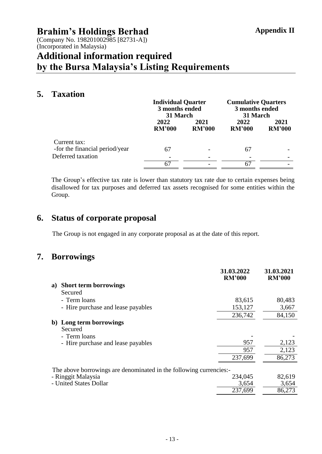(Company No. 198201002985 [82731-A]) (Incorporated in Malaysia)

# **Additional information required by the Bursa Malaysia's Listing Requirements**

### **5. Taxation**

|                                                | <b>Individual Quarter</b><br>3 months ended<br>31 March |                       | <b>Cumulative Quarters</b><br>3 months ended<br>31 March |                       |
|------------------------------------------------|---------------------------------------------------------|-----------------------|----------------------------------------------------------|-----------------------|
|                                                | 2022<br><b>RM'000</b>                                   | 2021<br><b>RM'000</b> | 2022<br><b>RM'000</b>                                    | 2021<br><b>RM'000</b> |
| Current tax:<br>-for the financial period/year | 67                                                      |                       | 67                                                       |                       |
| Deferred taxation                              |                                                         |                       |                                                          |                       |
|                                                |                                                         |                       | 6.                                                       |                       |

The Group's effective tax rate is lower than statutory tax rate due to certain expenses being disallowed for tax purposes and deferred tax assets recognised for some entities within the Group.

### **6. Status of corporate proposal**

The Group is not engaged in any corporate proposal as at the date of this report.

#### **7. Borrowings**

|    |                                                                   | 31.03.2022<br><b>RM'000</b> | 31.03.2021<br><b>RM'000</b> |
|----|-------------------------------------------------------------------|-----------------------------|-----------------------------|
| a) | <b>Short term borrowings</b>                                      |                             |                             |
|    | Secured                                                           |                             |                             |
|    | - Term loans                                                      | 83,615                      | 80,483                      |
|    | - Hire purchase and lease payables                                | 153,127                     | 3,667                       |
|    |                                                                   | 236,742                     | 84,150                      |
|    | b) Long term borrowings<br>Secured                                |                             |                             |
|    | - Term loans                                                      |                             |                             |
|    | - Hire purchase and lease payables                                | 957                         | 2,123                       |
|    |                                                                   | 957                         | 2,123                       |
|    |                                                                   | 237,699                     | 86,273                      |
|    | The above borrowings are denominated in the following currencies: |                             |                             |
|    | - Ringgit Malaysia                                                | 234,045                     | 82,619                      |
|    | - United States Dollar                                            | 3,654                       | 3,654                       |
|    |                                                                   | 237,699                     | 86,273                      |